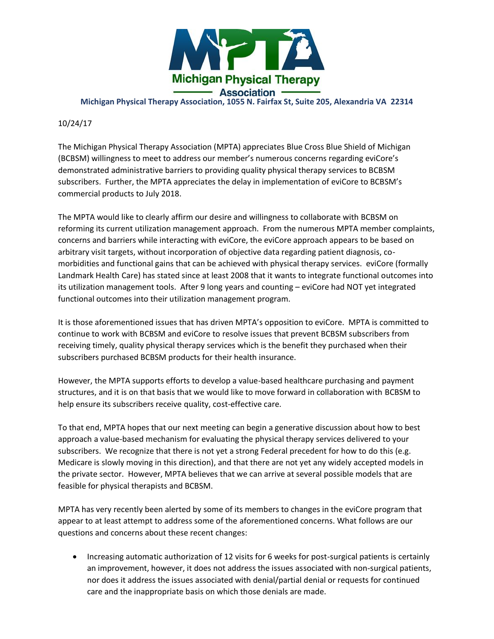

**Michigan Physical Therapy Association, 1055 N. Fairfax St, Suite 205, Alexandria VA 22314**

## 10/24/17

The Michigan Physical Therapy Association (MPTA) appreciates Blue Cross Blue Shield of Michigan (BCBSM) willingness to meet to address our member's numerous concerns regarding eviCore's demonstrated administrative barriers to providing quality physical therapy services to BCBSM subscribers. Further, the MPTA appreciates the delay in implementation of eviCore to BCBSM's commercial products to July 2018.

The MPTA would like to clearly affirm our desire and willingness to collaborate with BCBSM on reforming its current utilization management approach. From the numerous MPTA member complaints, concerns and barriers while interacting with eviCore, the eviCore approach appears to be based on arbitrary visit targets, without incorporation of objective data regarding patient diagnosis, comorbidities and functional gains that can be achieved with physical therapy services. eviCore (formally Landmark Health Care) has stated since at least 2008 that it wants to integrate functional outcomes into its utilization management tools. After 9 long years and counting – eviCore had NOT yet integrated functional outcomes into their utilization management program.

It is those aforementioned issues that has driven MPTA's opposition to eviCore. MPTA is committed to continue to work with BCBSM and eviCore to resolve issues that prevent BCBSM subscribers from receiving timely, quality physical therapy services which is the benefit they purchased when their subscribers purchased BCBSM products for their health insurance.

However, the MPTA supports efforts to develop a value-based healthcare purchasing and payment structures, and it is on that basis that we would like to move forward in collaboration with BCBSM to help ensure its subscribers receive quality, cost-effective care.

To that end, MPTA hopes that our next meeting can begin a generative discussion about how to best approach a value-based mechanism for evaluating the physical therapy services delivered to your subscribers. We recognize that there is not yet a strong Federal precedent for how to do this (e.g. Medicare is slowly moving in this direction), and that there are not yet any widely accepted models in the private sector. However, MPTA believes that we can arrive at several possible models that are feasible for physical therapists and BCBSM.

MPTA has very recently been alerted by some of its members to changes in the eviCore program that appear to at least attempt to address some of the aforementioned concerns. What follows are our questions and concerns about these recent changes:

• Increasing automatic authorization of 12 visits for 6 weeks for post-surgical patients is certainly an improvement, however, it does not address the issues associated with non-surgical patients, nor does it address the issues associated with denial/partial denial or requests for continued care and the inappropriate basis on which those denials are made.